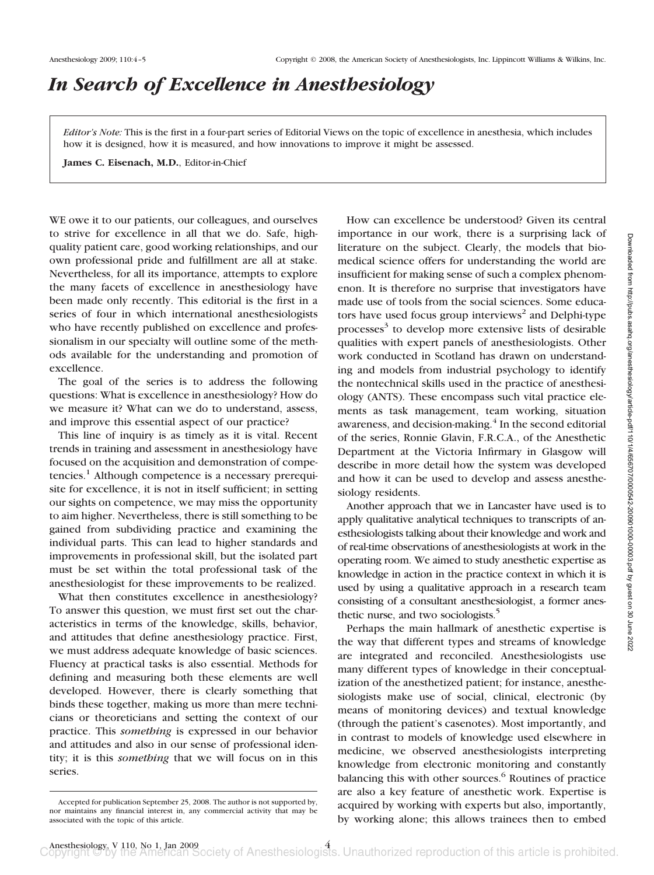## *In Search of Excellence in Anesthesiology*

*Editor's Note:* This is the first in a four-part series of Editorial Views on the topic of excellence in anesthesia, which includes how it is designed, how it is measured, and how innovations to improve it might be assessed.

**James C. Eisenach, M.D.**, Editor-in-Chief

WE owe it to our patients, our colleagues, and ourselves to strive for excellence in all that we do. Safe, highquality patient care, good working relationships, and our own professional pride and fulfillment are all at stake. Nevertheless, for all its importance, attempts to explore the many facets of excellence in anesthesiology have been made only recently. This editorial is the first in a series of four in which international anesthesiologists who have recently published on excellence and professionalism in our specialty will outline some of the methods available for the understanding and promotion of excellence.

The goal of the series is to address the following questions: What is excellence in anesthesiology? How do we measure it? What can we do to understand, assess, and improve this essential aspect of our practice?

This line of inquiry is as timely as it is vital. Recent trends in training and assessment in anesthesiology have focused on the acquisition and demonstration of compe $t$ encies.<sup>1</sup> Although competence is a necessary prerequisite for excellence, it is not in itself sufficient; in setting our sights on competence, we may miss the opportunity to aim higher. Nevertheless, there is still something to be gained from subdividing practice and examining the individual parts. This can lead to higher standards and improvements in professional skill, but the isolated part must be set within the total professional task of the anesthesiologist for these improvements to be realized.

What then constitutes excellence in anesthesiology? To answer this question, we must first set out the characteristics in terms of the knowledge, skills, behavior, and attitudes that define anesthesiology practice. First, we must address adequate knowledge of basic sciences. Fluency at practical tasks is also essential. Methods for defining and measuring both these elements are well developed. However, there is clearly something that binds these together, making us more than mere technicians or theoreticians and setting the context of our practice. This *something* is expressed in our behavior and attitudes and also in our sense of professional identity; it is this *something* that we will focus on in this series.

How can excellence be understood? Given its central importance in our work, there is a surprising lack of literature on the subject. Clearly, the models that biomedical science offers for understanding the world are insufficient for making sense of such a complex phenomenon. It is therefore no surprise that investigators have made use of tools from the social sciences. Some educators have used focus group interviews<sup>2</sup> and Delphi-type processes<sup>3</sup> to develop more extensive lists of desirable qualities with expert panels of anesthesiologists. Other work conducted in Scotland has drawn on understanding and models from industrial psychology to identify the nontechnical skills used in the practice of anesthesiology (ANTS). These encompass such vital practice elements as task management, team working, situation awareness, and decision-making. $4$  In the second editorial of the series, Ronnie Glavin, F.R.C.A., of the Anesthetic Department at the Victoria Infirmary in Glasgow will describe in more detail how the system was developed and how it can be used to develop and assess anesthesiology residents.

Another approach that we in Lancaster have used is to apply qualitative analytical techniques to transcripts of anesthesiologists talking about their knowledge and work and of real-time observations of anesthesiologists at work in the operating room. We aimed to study anesthetic expertise as knowledge in action in the practice context in which it is used by using a qualitative approach in a research team consisting of a consultant anesthesiologist, a former anesthetic nurse, and two sociologists.<sup>5</sup>

Perhaps the main hallmark of anesthetic expertise is the way that different types and streams of knowledge are integrated and reconciled. Anesthesiologists use many different types of knowledge in their conceptualization of the anesthetized patient; for instance, anesthesiologists make use of social, clinical, electronic (by means of monitoring devices) and textual knowledge (through the patient's casenotes). Most importantly, and in contrast to models of knowledge used elsewhere in medicine, we observed anesthesiologists interpreting knowledge from electronic monitoring and constantly balancing this with other sources. $6$  Routines of practice are also a key feature of anesthetic work. Expertise is acquired by working with experts but also, importantly, by working alone; this allows trainees then to embed

Accepted for publication September 25, 2008. The author is not supported by, nor maintains any financial interest in, any commercial activity that may be associated with the topic of this article.